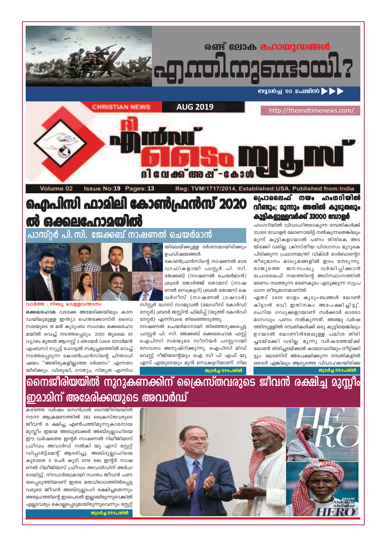

കഴിഞ്ഞ വർഷം സെൻട്രൽ നൈജീരിയയിൽ നടന്ന ആക്രമണത്തിൽ 262 ക്രൈസ്തവരുടെ ജീവൻ ര ക്ഷിച്ച എൺപത്തിമൂന്നുകാരനായ മുസ്ലീം ഇമാമ അബൂബക്കർ അബ്ദുല്ലാഹിയെ ഈ വർഷത്തെ ഇന്റർ നാഷണൽ റിലീജിയസ് ഫ്രീഡം അവാർഡ് നൽകി യു എസ് സ്റ്റേറ്റ് ഡിപ്പാർട്ട്മെന്റ് ആദരിച്ചു. അബ്ദുല്ലാഹിയെ കൂടാതെ 5 പേർ കൂടി 2019 ലെ ഇന്റർ നാഷ ണൽ റിലീജിയസ് ഫ്രീഡം അവാർഡിന് അർഹ രായിട്ടു്. നിസ്വാർത്ഥമായി സ്വന്തം ജീവൻ പണ യപ്പെടുത്തിയാണ് ഇതര മതവിഭാഗത്തിൽപ്പെട്ട വരുടെ ജീവൻ അബ്ദുല്ലാഹി രക്ഷിച്ചതെന്നും അദ്ദേഹത്തിന്റെ ഇടപെടൽ ഇല്ലായിരുന്നുവെങ്കിൽ

എല്ലാവരും കൊല്ലപ്പെടുമായിരുന്നുവെന്നും സ്റ്റേറ്റ്

തുടർച്ച 09പേജ്ൽ

നൈജീരിയയിൽ നുറുകണക്കിന് ക്രൈസ്തവരുടെ ജീവൻ രക്ഷിച്ച മുസ്ലീം ഇമാമിന് അമേരിക്കയുടെ അവാർഡ്

ഒക്കലഹോമ: വടക്കേ അമേരിക്കയിലും കാന ഡയിലുമുള്ള ഇന്ത്യാ പെന്തക്കോസ്ത് ദൈവ സഭയുടെ 18 മത് കുടുംബ സംഗമം ഒക്കലഹോ മയിൽ വെച്ച് നടത്തപ്പെടും. 2020 ജൂലൈ 30 വ്യാഴം മുതൽ ആഗസ്റ്റ് 2 ഞായർ വരെ നോർമൻ എംബസി സ്യൂട്ട് ഹോട്ടൽ സമുച്ചയത്തിൽ വെച്ച് നടത്തപ്പെടുന്ന കോൺഫ്രൻസിന്റെ ചിന്താവി ഷയം "അതിരുകളില്ലാത്ത ദർശനം" എന്നതാ യിരിക്കും. വിശുദ്ധി, ദൗത്യം, നിത്യത എന്നിവ

വാർത്ത : നിബൂ വെള്ളവന്താനം

പാസ്റ്റർ പി.സി. ജേക്കബ് നാഷണൽ ചെയർമാൻ

യിലേയ്ക്കുള്ള ദർശനമായിരിക്കും ഉപവിഷയങ്ങൾ. കോൺഫ്രൻസിന്റെ നാഷണൽ ഭാര വാഹികളായി പാസ്റ്റർ പി. സി. ജേക്കബ് (നാഷണൽ ചെയർമാൻ) ബ്രദർ ജോർജ്ജ് തോമസ് (നാഷ ണൽ സെക്രട്ടറി) ബ്രദർ തോമസ് കെ

വർഗീസ് (നാഷണൽ ട്രഷറാർ)

സിസ്റ്റർ ഗ്രേസ് സാമുവൽ (ലേഡീസ് കോർഡി

നേറ്റർ) ബ്രദർ ജസ്റ്റിൻ ഫിലിപ്പ് (യൂത്ത് കോർഡി

നാഷണൽ ചെയർമാനായി തിരഞ്ഞടുക്കപ്പെട്ട

പാസ്റ്റർ പി. സി. ജേക്കബ് ഒക്കലഹോമ ഫസ്റ്റ്

ഐപിസി സഭയുടെ സീനിയർ പാസ്റ്ററായി

സേവനം അനുഷ്ഠിക്കുന്നു. ഐപിസി മിഡ്

വെസ്റ്റ് റീജിയന്റെയും ഐ സി പി എഫ് യു

എസ് എയുടെയും മുൻ സെക്രട്ടറിയാണ്. നില

തുടർച്ച 09 പേജ്ൽ

നേറ്റർ) എന്നിവരെ തിരഞ്ഞെടുത്തു.

കുട്ടികളുള്ളവർക്ക് 33000 ഡോളർ ഹംഗറിയിൽ വിവാഹിതരാകുന്ന ദമ്പതികൾക്ക് 33,000 ഡോളർ ലോണായിട്ട് നൽകുന്നതെങ്കിലും മൂന്ന് കുട്ടികളായാൽ പണം തിരികെ അട യ്ക്കേി വരില്ല. ക്രിസ്തീയ വിശ്വാസം മുറുകെ പിടിക്കുന്ന പ്രധാനമന്ത്രി വിക്ടർ ഓർബാന്റെറ തീരുമാനം മാധ്യമങ്ങളിൽ ഇടം നേടുന്നു.

ധാന തീരുമാനമാണിത്.

# ഐപിസി ഫാമിലി കോൺഫ്രൻസ് 2020 ൽ ഒക്കലഫോമയിൽ

പ്രൊലൈഫ് നയം ഹംഗറിയിൽ

ദി വേക്ക് അഷ് -കോ Volume 02 **Issue No:19 Pages:13** Reg: TVM/1717/2014, Established:USA, Published from:India



രണ്ട് ലോക മഹായുദ്ധങ്ങൾ

**MASIOLE 05 ELISTOO > >** 

http://theendtimenews.com/

വിണ്ടും; മൂന്നും അതിൽ കൂടുതലും

രാജ്യത്തെ ജനസംഖ്യ വർദ്ധിപ്പിക്കാൻ

പ്രൊലൈഫ് നയത്തിന്റെ അടിസ്ഥാനത്തിൽ

ഭരണം നടത്തുന്ന ഭരണകൂടം എടുക്കുന്ന സുപ്ര

ഏതാ് 2400 ഓളം കുടുംബങ്ങൾ ലോൺ

കിട്ടാൻ വേി ഇതിനകം അപേക്ഷിച്ചിട്ടു്.

ചെറിയ ഗഡുക്കളായാണ് സർക്കാർ ഓരോ

മാസവും പണം നൽകുന്നത്. അഞ്ചു വർഷ

ത്തിനുള്ളിൽ ദമ്പതികൾക്ക് ഒരു കുട്ടിയെങ്കിലും

ഉായാൽ ലോണിൻമേലുള്ള പലിശ തിരി

ച്ചടയ്ക്കേി വരില്ല. മൂന്നു വർഷത്തേയ്ക്ക്

ലോൺ തിരിച്ചടയ്ക്കൽ കാലാവധിയും നീട്ടിക്കി

ട്ടും. ലോണിന് അപേക്ഷിക്കുന്ന ദമ്പതികളിൽ

ഒരാൾ എങ്കിലും ആദ്യത്തെ വിവാഹമായിരിക്ക

തുടർച്ച 09 പേജ്ൽ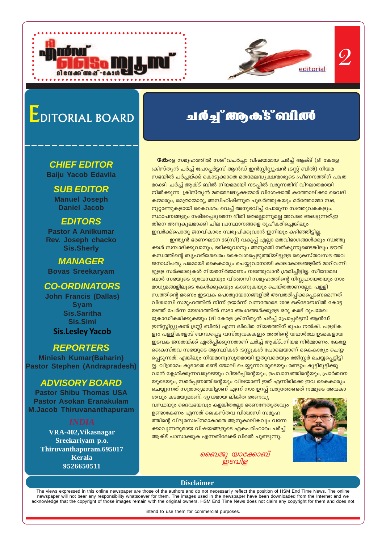

# 2

# EDITORIAL BOARD

#### **CHIEF EDITOR Baiju Yacob Edavila**

**SUB EDITOR Manuel Joseph Daniel Jacob**

#### **EDITORS**

**Pastor A Anilkumar Rev. Joseph chacko Sis.Sherly**

**MANAGER Bovas Sreekaryam**

### **CO-ORDINATORS**

**John Francis (Dallas) Syam Sis.Saritha Sis.Simi Sis.Lesley Yacob**

### **REPORTERS**

**Miniesh Kumar(Baharin) Pastor Stephen (Andrapradesh)**

### **ADVISORY BOARD**

**Pastor Shibu Thomas USA Pastor Asokan Eranakulam M.Jacob Thiruvananthapuram**

**VRA-402,Vikasnagar Sreekariyam p.o. Thiruvanthapuram.695017 Kerala 9526650511**

## *வ* **ம் து" ആക് 8" விர்ல்**

**ഭക**രള സമൂഹത്തിൽ സജീവചർച്ചാ വിഷയമായ ചർച്ച് ആക്ട് (ദി കേരള رകിസ്ത്യൻ ചർച്ച് പ്രോപ്പർട്ടസ് ആൻഡ് ഇൻസ്റ്റിറ്റ്യൂഷൻ ട്രസ്റ്റ് ബിൽ) നിയമ സഭയിൽ ചർച്ചയ്ക്ക് കൊടുക്കാതെ മതമേലദ്ധ്യക്ഷന്മാരുടെ പ്രീണനത്തിന് പാത്ര മാക്കി. ചർച്ച് ആക്ട് ബിൽ നിയമമായി നടപ്പിൽ വരുന്നതിന് വിഘാതമായി  $\overline{m}$ ിൽക്കുന്ന  $\overline{m}$  ക്രിസ്തൃൻ മതമേലദ്ധൃക്ഷന്മാർ വിശേഷാൽ കത്തോലിക്കാ വൈദി കന്മാരും, മെത്രാന്മാരു, അസിഹിഷ്ണുത പുലർത്തുകയും മർത്തോമ്മാ സഭ, നൂറ്റാണ്ടുകളായി കൈവശം വെച്ച് അനുഭവിച്ച് പോരുന്ന സ്വത്തുവകകളും, ്സ്ഥാപനങ്ങളും നഷ്ടപ്പെടുമെന്ന ഭീതി തെല്ലൊന്നുമല്ല അവരെ അലട്ടുന്നത്.ഇ തിനെ അനുകൂലമാക്കി ചില പ്രസ്ഥാനങ്ങളെ രൂപീകരിച്ചെങ്കിലും ഇവർക്ക്പൊതു ജനവികാരം സ്വരൂപിക്കുവാൻ ഇനിയും കഴിഞ്ഞിട്ടില്ല.

ഇന്ത്യൻ ഭരണഘടന 26(സി) വകുപ്പ് എല്ലാ മതവിഭാഗങ്ങൾക്കും സ്വത്തു ക്കൾ സമ്പാദിക്കുവാനും, ഭരിക്കുവാനും അനുമതി നൽകുന്നുണ്ടെങ്കിലും ഭൗതി ്കസ്വത്തിന്റെ ബൃഹത്ശേഖരം കൈവശപ്പെടുത്തിയിട്ടുള്ള ക്രൈസ്തവസഭ അവ ജനാധിപത്യ പരമായി കൈകാര്യം ചെയ്യുവാനായി കാലാകാലങ്ങളിൽ മാറിവന്നി ട്ടുള്ള സർക്കാരുകൾ നിയമനിർമ്മാണം നടത്തുവാൻ ശ്രമിച്ചിട്ടില്ല. സീറോമല ബാർ സഭയുടെ ദുരവസ്ഥയും വിശ്വാസി സമൂഹത്തിന്റെ നിസ്സഹായതയും നാം മാധ്യമങ്ങളിലൂടെ കേൾക്കുകയും കാണുകയും ചെയ്തതാണല്ലോ. പള്ളി സ്വത്തിന്റെ ഭരണം ഇടവക പൊതുയോഗങ്ങളിൽ അവതരിപ്പിക്കപ്പെടണമെന്നത് <u>വിശ്</u>വാസി സമൂഹത്തിൽ നിന്ന് ഉയർന്ന് വന്നതോടെ 2006 ഒക്ടോബറിൽ കോട്ട യത്ത് ചേർന്ന യോഗത്തിൽ സഭാ അംഗങ്ങൾക്കുള്ള ഒരു കരട് രൂപരേഖ ഭക്രാഡീകരിക്കുകയും (ദി കേരള ക്രിസ്തൃൻ ചർച്ച് പ്രോപ്പർട്ടസ് ആൻഡ് ഇൻസ്റ്റിറ്റ്യൂഷൻ ട്രസ്റ്റ് ബിൽ) എന്ന ലിഖിത നിയമത്തിന് രൂപം നൽകി. പള്ളിക ളും പള്ളികളോട് ബന്ധപ്പെട്ട വസ്തുവകകളും അതിന്റെ യഥാർത്ഥ ഉടമകളായ <u>ഇടവക ജനതയ്ക്ക് ഏൽപ്പിക്കുന്നതാണ് ചർച്ച്</u> ആക്ട്..നിയമ നിർമ്മാണം. കേരള ക്രൈസ്തവ സഭയുടെ ആസ്ഥികൾ ട്രസ്റ്റുകൾ പോലെയാണ് കൈകാര്യം ചെയ്യ പ്പെടുന്നത്. എങ്കിലും നിയമാനുസൃതമായി ഇതുവരെയും രജിസ്റ്റർ ചെയ്യപ്പെട്ടിട്ടി ല്ല. വിശ്രാമം കൂടാതെ രണ്ട് ജോലി ചെയ്യുന്നവരുടെയും രണ്ടറ്റം കൂട്ടിമുട്ടിക്കു വാൻ ക്ലേശിക്കുന്നവരുടെയും വിയർപ്പിന്റെയും, ഉപവാസത്തിന്റെയും, പ്രാർത്ഥന യുടെയും, സമർപ്പണത്തിന്റെയും വിലയാണ് ഇത് എന്നിരിക്കെ ഇവ കൈകാര്യം ചെയ്യുന്നത് സുതാര്യമായിട്ടാണ് എന്ന് നാം ഉറപ്പ് വരുത്തേണ്ടത് നമ്മുടെ അവകാ

 $\omega$ വും കടമയുമാണ്. ദൃഢമായ ലികിത ഭരണവൃ വസ്ഥയും ദൈവഭയവും കളങ്കിതരല്ലാ ഭരണനേതൃത്വവും ഉണ്ടാകേണം എന്നത് ക്രൈസ്തവ വിശ്വാസി സമൂഹ ത്തിന്റെ വിദൂരസ്വപ്നമാകാതെ ആനുകാലികവും വന്നേ ക്കാവുന്നതുമായ വിഷയങ്ങളുടെ ഏകപരിഹാരം ചർച്ച് <mark>ആക്ട് പാസാക്കുക എന്നതിലേക്ക് വിരൽ ചുണ്ടുന്നു</mark>.



*ബൈജു യാക്കോബ ഇടവിള* 

#### **Disclaimer**

The views expressed in this online newspaper are those of the authors and do not necessarily reflect the position of HSM End Time News. The online newspaper will not bear any responsibility whatsoever for them. The images used in the newspaper have been downloaded from the Internet and we acknowledge that the copyright of those images remain with the original owners. HSM End Time News does not claim any copyright for them and does not

intend to use them for commercial purposes.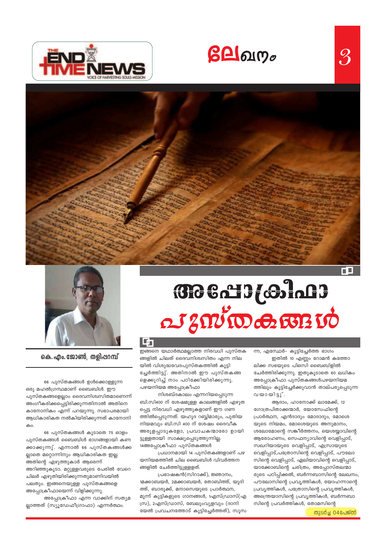



# BBSdB&JaB



കെ. എം. ജോൺ, തളിപ്പറമ്പ്

66 പുസ്തകങ്ങൾ ഉൾക്കൊള്ളുന്ന

ഒരു മഹൽഗ്രന്ഥമാണ് ബൈബിൾ. ഈ പുസ്തകങ്ങളെല്ലാം ദൈവനിശ്വസിതമാണെന്ന് അംഗീകരിക്കപ്പെട്ടിരിക്കുന്നതിനാൽ അതിനെ കാനോനികം എന്ന് പറയുന്നു. സഭാപരമായി ആധികാരികത നൽകിയിരിക്കുന്നത് കാനോനി കാ.

66 പുസ്തകങ്ങൾ കൂടാതെ 75 ഓളം പുസ്തകങ്ങൾ ബൈബിൾ ഭാഗങ്ങളായി കണ ക്കാക്കുന്നു്. എന്നാൽ 66 പുസ്തകങ്ങൾക്ക ല്ലാതെ മറ്റൊന്നിനും ആധികാരികത ഇല്ല. അതിന്റെ എഴുത്തുകാർ ആരെന്ന് അറിഞ്ഞുകൂടാ. മറ്റുള്ളവരുടെ പേരിൽ വേറെ ചിലർ എഴുതിയിരിക്കുന്നതുമാണിവയിൽ പലതും. ഇങ്ങനെയുള്ള പുസ്തകങ്ങളെ അപ്പോക്രീഫായെന്ന് വിളിക്കുന്നു. അപ്പോക്രീഫാ എന്ന വാക്കിന് സത്യമ

ല്ലാത്തത് (സ്യൂഡേഫീഗ്രാഫാ) എന്നർത്ഥം.

#### 厨

ഇങ്ങനെ യഥാർത്ഥമല്ലാത്ത നിരവധി പുസ്തക ങ്ങളിൽ ചിലത് ദൈവനിശ്വസിതം എന്ന നില യിൽ വിശുദ്ധവേദപുസ്തകത്തിൽ കൂട്ടി ച്ചേർത്തിട്ടു്. അതിനാൽ ഈ പുസ്തകങ്ങ ളെക്കുറിച്ച് നാം പഠിക്കേിയിരിക്കുന്നു. പഴയനിയമ അപ്പോക്രീഫാ

നിശബ്ദകാലം എന്നറിയപ്പെടുന്ന ബി.സി400 ന് ശേഷമുള്ള കാലങ്ങളിൽ എഴുത പ്പെട്ട നിരവധി എഴുത്തുകളാണ് ഈ ഗണ ത്തിൽപ്പെടുന്നത്. യഹൂദ റബ്ബിമാരും, പുതിയ നിയമവും ബി.സി 400 ന് ശേഷം ദൈവീക അരുളപ്പാടുകളോ, പ്രവാചകന്മാരോ ഉായി ട്ടുള്ളതായി സാക്ഷ്യപ്പെടുത്തുന്നില്ല. 14അപ്പോക്രീഫാ പുസ്തകങ്ങൾ

പ്രധാനമായി 14 പുസ്തകങ്ങളാണ് പഴ യനിയമത്തിൽ ചില ബൈബിൾ വിവർത്തന ങ്ങളിൽ ചേർത്തിട്ടുള്ളളത്.

പ്രഭാഷകൻ(സിറാക്ക്), ജ്ഞാനം, 1മക്കാബയർ, 2മക്കാബയർ, തോബിത്ത്, യൂദി ത്ത്, ബാരൂക്ക്, മനാസെയുടെ പ്രാർത്ഥന, മൂന്ന് കുട്ടികളുടെ ഗാനങ്ങൾ, 1എസ്ഡ്രാസ്(എ സ്ര), 2എസ്ഡ്രാസ്, ബേലുംവ്യളവും (ദാനി യേൽ പ്രവചനത്തോട് കൂട്ടിച്ചേർത്തത്), സൂസ ന്ന, എസ്ഥേർ- കൂട്ടിച്ചേർത്ത ഭാഗം

ഇതിൽ 10 എണ്ണം റോമൻ കത്തോ ലിക്ക സഭയുടെ പിഒസി ബൈബിളിൽ ചേർത്തിരിക്കുന്നു. ഇതുകൂടാതെ 60 ലധികം അപ്പോക്രീഫാ പുസ്തകങ്ങൾപഴയനിയമ ത്തിലും കൂട്ടിച്ചേർക്കുവാൻ താല്പര്യപ്പെടുന്ന വയായിട്ടു്.

ആദാം, ഹാനോക്ക് ലാമേക്ക്, 12 ഗോത്രപിതാക്കന്മാർ, യോസേഫിന്റെ പ്രാർത്ഥന, എൻദാദും മോദാദും, മോശെ യുടെ നിയമം, മോശെയുടെ അനുമാനം, ശലോമോന്റെ സങ്കീർത്തനം, യെശയ്യാവിന്റെ ആരോഹണം, സെഫന്യാവിന്റെ വെളിപ്പാട്, സഖറിയായുടെ വെളിപ്പാട്, എസ്രായുടെ വെളിപ്പാട്,പത്രോസിന്റെ വെളിപ്പാട്, പൗലോ സിന്റെ വെളിപ്പാട്, ഏലിയാവിന്റെ വെളിപ്പാട്, യാക്കോബിന്റെ ചരിത്രം, അപ്പോസ്തലന്മാ രുടെ പഠിപ്പിക്കൽ, ബർന്നബാസിന്റെ ലേഖനം, പൗലോസിന്റെ പ്രവൃത്തികൾ, യോഹന്നാന്റെ പ്രവൃത്തികൾ, പത്രോസിന്റെ പ്രവൃത്തികൾ, അന്തെയാസിന്റെ പ്രവൃത്തികൾ, ബർന്നബാ സിന്റെ പ്രവർത്തികൾ, തോമസിന്റെ

തുടർച്ച O4പേജ്ൽ

 $\mathcal{S}% _{M_{1},M_{2}}^{\prime }\equiv\mathcal{S}_{M_{1},M_{2}}^{\prime }\equiv\mathcal{S}_{M_{1},M_{2}}^{\prime }\equiv\mathcal{S}_{M_{1},M_{2}}^{\prime }\equiv\mathcal{S}_{M_{1},M_{2}}^{\prime }\equiv\mathcal{S}_{M_{1},M_{2}}^{\prime }\equiv\mathcal{S}_{M_{1},M_{2}}^{\prime }\equiv\mathcal{S}_{M_{1},M_{2}}^{\prime }\equiv\mathcal{S}_{M_{1},M_{2}}^{\prime }\equiv\mathcal{S}_{M_{1},M_{2}}^{\prime }\equiv\mathcal{S}_{M_{1},M_{2}}^{\prime }\equiv\mathcal{S}_{M_{1$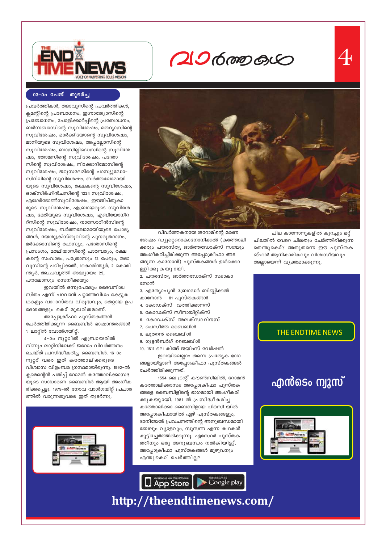

## **20600000**



#### 03–0o പേജ് തുടർച്ച

പ്രവർത്തികൾ, തദാവൂസിന്റെ പ്രവർത്തികൾ, ക്ലമന്റിന്റെ പ്രബോധനം, ഇഗ്നാത്യോസിന്റെ പ്രബോധനം, പോളിക്കാർപ്പിന്റെ പ്രബോധനം, ബർന്നബാസിന്റെ സുവിശേഷം, മത്ഥ്യാസിന്റെ സുവിശേഷം, മാർക്കിയോന്റെ സുവിശേഷം, മാനിയുടെ സുവിശേഷം, അപ്പല്ലോസിന്റെ സുവിശേഷം, ബാസില്ലിഡെസ്വിന്റെ സുവിശേ ഷം, തോമസിന്റെ സുവിശേഷം, പത്രോ സിന്റെ സുവിശേഷം, നിക്കോദിമോസിന്റെ സുവിശേഷം, ജറുസലേമിന്റെ പാസ്യൂഡോ-സിറിലിന്റെ സുവിശേഷം, ബർത്തലോമായി യുടെ സുവിശേഷം, രക്ഷകന്റെ സുവിശേഷം, ഓക്സിർഹിൻചസിന്റെ 1224 സുവിശേഷം, എഗേർടോൺസുവിശേഷം, ഈജിപ്തുകാ രുടെ സുവിശേഷം, എബ്രായരുടെ സുവിശേ ഷം, മേരിയുടെ സുവിശേഷം, എബിയോനിറ റ്സിന്റെ സുവിശേഷം, നാസോറീൻസിന്റെ സുവിശേഷം, ബർത്തലോമായിയുടെ ചോദ്യ ങ്ങൾ, യേശുക്രിസ്തുവിന്റെ പുനരുത്ഥാനം, മർക്കോസിന്റെ രഹസ്യം, പത്രോസിന്റെ പ്രസംഗം, മത്ഥിയാസിന്റെ പാരമ്പര്യം, രക്ഷ കന്റെ സംവാദം, പത്രോസും 12 പേരും, തദാ വൂസിന്റെ പഠിപ്പിക്കൽ, 1കൊരിന്ത്യർ, 2 കൊരി ന്ത്യർ, അ.പ്രവൃത്തി അദ്ധ്യായം 29, പൗലോസും സെനീക്കയും

ഇവയിൽ ഒന്നുപോലും ദൈവനിശ്വ സിതം എന്ന് പറവാൻ പറ്റാത്തവിധം കെട്ടുക ഥകളും വാാസ്തവ വിരുദ്ധവും, തെറ്റായ ഉപ ദേശങ്ങളും കൊ് മുഖരിതമാണ്.

അപ്പോക്രീഫാ പുസ്തകങ്ങൾ ചേർത്തിരിക്കുന്ന ബൈബിൾ ഭാഷാന്തരങ്ങൾ 1. ലാറ്റിൻ വോൽഗയിറ്റ്.

4-ാം നൂറ്റാിൽ എബ്രായരിൽ നിന്നും ലാറ്റിനിലേക്ക് ജറോം വിവർത്തനം ചെയ്ത് പ്രസിദ്ധീകരിച്ച ബൈബിൾ. 16-ാം നൂറ്റാ് വരെ ഇത് കത്തോലിക്കരുടെ വിശ്വാസ വിളംബര ഗ്രന്ഥമായിരുന്നു. 1592-ൽ ക്ലമെന്റെൻ പതിപ്പ് റോമൻ കത്തോലിക്കാസഭ യുടെ സാധാരണ ബൈബിൾ ആയി അംഗീക രിക്കപ്പെട്ടു. 1979–ൽ നോവ വാൾഗയിറ്റ് പ്രചാര ത്തിൽ വരുന്നതുവരെ ഇത് തുടർന്നു.





വിവർത്തകനായ ജറോമിന്റെ മരണ ശേഷം ഡ്യുറ്റൈകാനോനിക്കൽ (കത്തോലി ക്കരും പൗരസ്ത്യ ഓർത്തഡോക്സ് സഭയും അംഗീകരിച്ചിരിക്കുന്ന അപ്പോക്രീഫാ അട ങ്ങുന്ന കാനോൻ) പുസ്തകങ്ങൾ ഉൾക്കൊ ളളിക്കുകയുായി.

2. പൗരസ്ത്യ ഓർത്തഡോക്സ് സഭാകാ നോൻ

- 3. എത്യോപ്യൻ ബ്രോഡർ ബിബ്ലിക്കൽ
- കാനോൻ 81 പുസ്തകങ്ങൾ
- 4. കോഡക്സ് വത്തിക്കാനസ്
- 5. കോഡക്സ് സീനായിറ്റിക്സ്
- 6. കോഡക്സ് അലക്സാറിനസ്
- 7. പെസീത്ത ബൈബിൾ
- 8. ലൂതറൻ ബൈബിൾ
- 9. ഗുട്ടൻബർഗ് ബൈബിൾ

10. 1611 ലെ കിങ്ങ് ജയിംസ് വേർഷൻ ഇവയിലെല്ലാം തന്നെ പ്രത്യേക ഭാഗ

ങ്ങളായിട്ടാണ് അപ്പോക്രീഫാ പുസ്തകങ്ങൾ ചേർത്തിരിക്കുന്നത്.

1554 ലെ ട്രന്റ് കൗൺസിലിൽ, റോമൻ കത്തോലിക്കാസഭ അപ്പോക്രീഫാ പുസ്തക ങ്ങളെ ബൈബിളിന്റെ ഭാഗമായി അംഗീകരി ക്കുകയുായി. 1981 ൽ പ്രസിദ്ധീകരിച്ച കത്തോലിക്കാ ബൈബിളായ പിഒസി യിൽ അപ്പോക്രീഫായിൽ ഏഴ് പുസ്തകങ്ങളും, ദാനിയേൽ പ്രവചനത്തിന്റെ അനുബന്ധമായി ബേലും വ്യാളവും, സൂസന്ന എന്ന കഥകൾ കൂട്ടിച്ചേർത്തിരിക്കുന്നു. എസ്ഥേർ പുസ്തക ത്തിനും ഒരു അനുബന്ധം നൽകിയിട്ടു്. അപ്പോക്രീഫാ പുസ്തകങ്ങൾ മുഴുവനും എന്തുകൊ്ചേർത്തില്ല?



ചില കാനോനുകളിൽ കുറച്ചും മറ്റ് ചിലതിൽ വേറെ ചിലതും ചേർത്തിരിക്കുന്ന തെന്തുകൊ്? അതുതന്നെ ഈ പുസ്തക ങ്ഹൾ ആധികാരികവും വിശ്വസീയവും അല്ലായെന്ന് വ്യക്തമാക്കുന്നു.

THE ENDTIME NEWS

## എൻടെം ന്യൂസ്



## http://theendtimenews.com/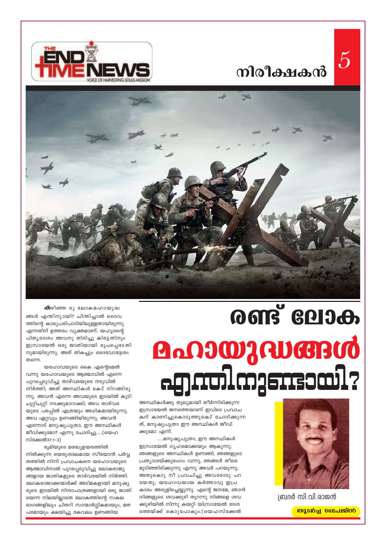





# **OONS GRIJA**

അസ്ഥികൾക്കു തുല്യമായി തീർന്നിരിക്കുന്ന ഇസ്രായേൽ ജനത്തെയാണ് ഇവിടെ പ്രവാച കന് കാണിച്ചുകൊടുത്തുകൊ് ചോദിക്കുന്ന ത്, മനുഷ്യപുത്രാ ഈ അസ്ഥികൾ ജീവി ക്കുമോ എന്ന്.

.....മനുഷ്യപുത്രാ, ഈ അസ്ഥികൾ ഇസ്രായേൽ ഗൃഹമൊക്കയും ആകുന്നു. ഞങ്ങളുടെ അസ്ഥികൾ ഉണങ്ങി, ഞങ്ങളുടെ പ്രത്യാശയ്ക്കുഭംഗം വന്നു, ഞങ്ങൾ തീരെ മുടിഞ്ഞിരിക്കുന്നു എന്നു അവർ പറയുന്നു. അതുകൊു നീ പ്രവചിച്ചു അവരോടു പറ യേതു; യഹോവയായ കർത്താവു ഇപ്ര കാരം അരുളിച്ചെയ്യുന്നു. എന്റെ ജനമേ, ഞാൻ നിങ്ങളുടെ ശവക്കുഴി തുറന്നു നിങ്ങളെ ശവ ക്കുഴിയിൽ നിന്നു കയറ്റി യിസ്രായേൽ ദേശ ത്തേയ്ക്ക് കൊുപോകും.(യെഹസ്ക്കേൽ



ബ്രദർ സി.വി.രാജൻ

*ക്*ഴിഞ്ഞ രു ലോകമഹായുദ്ധ

ങ്ങൾ എന്തിനുായി? ചിന്തിച്ചാൽ ദൈവ ത്തിന്റെ കാര്യപരിപാടിയിലുള്ളതായിരുന്നു എന്നതിന് ഉത്തരം വ്യക്തമാണ്. യഹൂദന്റെ പിതൃദേശം അവനു തിരിച്ചു കിട്ടേതിനും ഇസ്രായേൽ ഒരു ജാതിയായി രൂപപ്പെടേതി നുമായിരുന്നു. അത് തികച്ചും ദൈവോദ്ദേശം തന്നെ.

യഹോവയുടെ കൈ എന്റെമേൽ വന്നു യഹോവയുടെ ആത്മാവിൽ എന്നെ പുറപ്പെടുവിച്ചു താഴ്വരയുടെ നടുവിൽ നിർത്തി; അത് അസ്ഥികൾ കൊ് നിറങ്ങിരു ന്നു. അവൻ എന്നെ അവയുടെ ഇടയിൽ കൂടി ചുറ്റിചുറ്റി നടക്കുമാറാക്കി; അവ താഴ്വര യുടെ പരപ്പിൽ എത്രയും അധികമായിരുന്നു. അവ ഏറ്റവും ഉണങ്ങിയിരുന്നു. അവൻ എന്നോട് മനുഷ്യപുത്രാ, ഈ അസ്ഥികൾ ജീവിക്കുമോ? എന്നു ചോദിച്ചു.....(യെഹ സ്ക്കേൽ37:1-3)

ഭൂമിയുടെ മദ്ധ്യേഉയരത്തിൽ നിൽക്കുന്ന യെരുശലേമായ സീയോൻ പർവ്വ തത്തിൽ നിന്ന് പ്രവാചകനെ യഹോവയുടെ ആത്മാവിനാൽ പുറപ്പെടുവിച്ചു ലോകരാജ്യ ങ്ങളായ ജാതികളുടെ താഴ്വരയിൽ നിർത്തി. ലോകരാജാക്കന്മാർക്ക് അടിമകളായി മനുഷ്യ രുടെ ഇടയിൽ നിന്ദാപാത്രങ്ങളായി ഒരു ജാതി യെന്ന നിലയില്ലാതെ ലോകത്തിന്റെ സകല ഭാഗങ്ങളിലും ചിതറി സാന്മാർഗ്ഗികമായും, മത പരമായും ക്ഷയിച്ചു കേവലം ഉണങ്ങിയ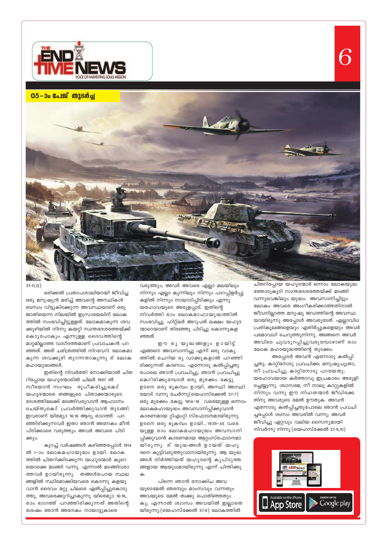

05-00 പേജ് തുടർച്ച



 $37:11,12)$ 

ഒരിക്കൽ പ്രതാപശാലിയായി ജീവിച്ച ഒരു മനുഷ്യൻ മരിച്ച് അവന്റെ അസ്ഥികൾ ബന്ധം വിട്ടുകിടക്കുന്ന അവസ്ഥയാണ് ഒരു ജാതിയെന്ന നിലയിൽ ഇസ്രായേലിന് ലോക ത്തിൽ സംഭവിച്ചിട്ടുള്ളത്. ലോകമാകുന്ന ശവ ക്കുഴിയിൽ നിന്നു കയറ്റി സ്വന്തദേശത്തേയ്ക്ക് കൊുപോകും എന്നുള്ള ദൈവത്തിന്റെ മാറ്റമില്ലാത്ത വാഗ്ദത്തമാണ് പ്രവാചകൻ പറ ഞ്ഞത്. അത് ചരിത്രത്തിൽ നിറവേറി. ലോകമാ കുന്ന ശവക്കുഴി തുറന്നതാകുന്നു ര് ലോക മഹായുദ്ധങ്ങൾ.

ഇതിന്റെ നിവർത്തി നോക്കിയാൽ ചിത റിപ്പോയ യഹൂദന്മാരിൽ ചിലർ 1897 ൽ സീയോൻ സംഘം രൂപീകരിച്ചുകൊ് യഹൂദന്മാരെ തങ്ങളുടെ പിതാക്കന്മാരുടെ ദേശത്തിലേക്ക് മടങ്ങിവരുവാൻ ആഹ്വാനം ചെയ്തുകൊ് പ്രവർത്തിക്കുവാൻ തുടങ്ങി. ഇവരാണ് യിരമ്യാ 16:16 ആദ്യ ഭാഗത്ത് പറ ഞ്ഞിരിക്കുന്നവർ ഇതാ ഞാൻ അനേകം മീൻ പിടിക്കാരെ വരുത്തും അവർ അവരെ പിടി ക്കും.

കുറച്ച് വർഷങ്ങൾ കഴിഞ്ഞപ്പോൾ 1914 1-ാം ലോകമഹായുദ്ധം ഉായി. ലോ ത്തിൽ ചിതറിക്കിടക്കുന്ന യഹൂദന്മാർ കുറെ യൊക്കെ മടങ്ങി വന്നു. എന്നാൽ മടങ്ങിവരാ ത്തവർ ഉായിരുന്നു. തങ്ങൾപോയ സ്ഥല ങ്ങളിൽ സ്ഥിരമാക്കിയവരെ കൊന്നു കളയു വാൻ ദൈവം മറ്റു ചിലരെ ഏൽപ്പിച്ചുകൊടു ത്തു, അവരെക്കുറിച്ചാകുന്നു യിരെമ്യാ 16:16, രാം ഭാഗത്ത് പറഞ്ഞിരിക്കുന്നത് അതിന്റെ ശേഷം ഞാൻ അനേകം നായാട്ടുകാരെ

വരുത്തും; അവർ അവരെ എല്ലാ മലയിലും നിന്നും എല്ലാ കുന്നിലും നിന്നും പാറപ്പിളർപ്പു കളിൽ നിന്നും നായാടിപ്പിടിക്കും എന്നു യഹോവയുടെ അരുളപ്പാട്. ഇതിന്റെ നിവർത്തി രാം ലോകമാഹായുദ്ധത്തിൽ സംഭവിച്ചു. ഹിറ്റ്ലർ അറുപത് ലക്ഷം യഹൂദ ന്മാറെയാണ് തിരഞ്ഞു പിടിച്ചു കൊന്നുകള ഞ്ഞത്.

ഈ രുയുദ്ധങ്ങളും ഉായിട്ട് എങ്ങനെ അവസാനിച്ചു എന്ന് ഒരു വാക്യ ത്തിൽ ചെറിയ രു വാക്കുകളാൽ പറഞ്ഞി രിക്കുന്നത് കാണാം. എന്നോടു കൽപ്പിച്ചതു പോലെ ഞാൻ പ്രവചിച്ചു; ഞാൻ പ്രവചിച്ചു കൊിരിക്കുമ്പോൾ ഒരു മുഴക്കം കേട്ടു. ഉടനെ ഒരു ഭൂകമ്പം ഉായി, അസ്ഥി അസ്ഥി യോട് വന്നു ചേർന്നു(യെഹസ്ക്കേൽ 37:7) ഒരു മുഴക്കം കേട്ടു 1914-18 വരെയുള്ള ഒന്നാം ലോകമഹായുദ്ധം അവസാനിപ്പിക്കുവാൻ കാരണമായ റ്റിഎംറ്റി സ്ഫോടനമായിരുന്നു. ഉടനെ ഒരു ഭൂകമ്പം ഉായി...1939-45 വരെ യുള്ള രാം ലോകമഹായുദ്ധം അവസാനി പ്പിക്കുവാൻ കാരണമായ ആറ്റംസ്ഫോടനമാ യിരുന്നു. ര്യുദ്ധങ്ങൾ ഉായത് യഹൂ ദനെ കൂട്ടിവരുത്തുവാനായിരുന്നു. <mark>ആ യുദ്ധ</mark> ങ്ങൾ നിർത്തിയത് യഹൂദന്റെ കുപിടുത്ത ങ്ങളായ ആയുധമായിരുന്നു എന്ന് ചിന്തിക്കു

പിന്നെ ഞാൻ നോക്കിച അവ യുടെമേൽ ഞരമ്പും മാംസവും വന്നതും അവയുടെ മേൽ ത്വക്കു പൊതിഞ്ഞതും കു; എന്നാൽ ശ്വാസം അവയിൽ ഇല്ലാതെ യിരുന്നു.(യെഹസ്ക്കേൽ 37:8) ലോകത്തിൽ

ചിതറിപ്പോയ യഹൂദന്മാർ ഒന്നാം ലോകയുദ്ധ ത്തോടുകൂടി സ്വന്തദേശത്തേയ്ക്ക് മടങ്ങി വന്നുവെങ്കിലും യുദ്ധം അവസാനിച്ചിട്ടും ലോകം അവരെ അംഗീകരിക്കാത്തതിനാൽ ജീവനില്ലാത്ത മനുഷ്യ ജഡത്തിന്റെ അവസ്ഥ യായിരുന്നു അപ്പോൾ അവരുടേത്. എല്ലാവിധ പ്രതികൂലങ്ങളെയും എതിർപ്പുകളെയും അവർ പരമാവധി ചെറുത്തുനിന്നു. അങ്ങനെ അവർ അവിടെ ചുവടുറപ്പിച്ചുവരുമ്പോഴാണ് രാം ലോക മഹായുദ്ധത്തിന്റെ തുടക്കം.

അപ്പോൾ അവൻ എന്നോടു കൽപ്പി ച്ചതു; കാറ്റിനോടു പ്രവചിക്ക; മനുഷ്യപുത്രാ, നീ പ്രവചിച്ചു കാറ്റിനോടു പറയേതു; യഹോവയായ കർത്താവു ഇപ്രകാരം അരുളി ച്ചെയ്യുന്നു. ശ്വാസമേ, നീ നാലു കാറ്റുകളിൽ നിന്നും വന്നു ഈ നിഹതന്മാർ ജീവിക്കേ തിനു അവരുടെ മേൽ ഊതുക. അവൻ എന്നോടു കൽപ്പിച്ചതുപോലെ ഞാൻ പ്രവചി ച്ചപ്പോൾ ശ്വസം അവരിൽ വന്നു; അവർ ജീവിച്ചു ഏറ്റവും വലിയ സൈന്യമായി നിവർന്നു നിന്നു.(യെഹസ്ക്കേൽ 37:9,10)

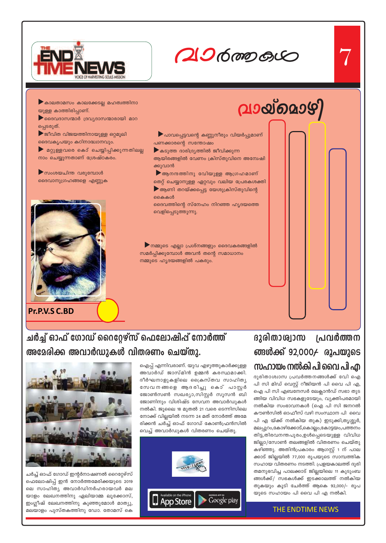

# $206$  mp  $60$

വായ്മൊഴി

▶ കാലതാമസം കാലക്കേടല്ല മഹത്വത്തിനാ യുള്ള കാത്തിരിപ്പാണ്. ▶ ദൈവദാസന്മാർ ദ്രവ്യദാസന്മാരായി മാറ പ്പെടരുത്.  $\blacktriangleright$  ജീവിത വിജയത്തിനായുള്ള ഒറ്റമൂലി ദൈവകൃപയും കഠിനാദ്ധ്വാനവും.

 $\blacktriangleright$  മറ്റുള്ളവരെ കൊ് ചെയ്യിപ്പിക്കുന്നതിലല്ല നാം ചെയ്യുന്നതാണ് ശ്രേഷ്ഠകരം.

▶ സംശയചിന്ത വരുമ്പോൾ ദൈവാനുഗ്രഹങ്ങളെ എണ്ണുക



Pr.P.V.S C.BD

▶ പാവപ്പെട്ടവന്റെ കണ്ണുനീരും വിയർപ്പുമാണ് പണക്കാരന്റെ സന്തോഷം

 $\blacktriangleright$ കടുത്ത ദാരിദ്ര്യത്തിൽ ജീവിക്കുന്ന ആയിരങ്ങളിൽ വേണം ക്രിസ്തുവിനെ അന്വേഷി ക്കുവാൻ

 $\blacktriangleright$ ആനന്ദത്തിനു വിേയുള്ള ആഗ്രഹമാണ് തെറ്റ് ചെയ്യാനുള്ള ഏറ്റവും വലിയ പ്രേരകശക്തി  $\blacktriangleright$  ആണി തറയ്ക്കപ്പെട്ട യേശുക്രിസ്തുവിന്റെ കൈകൾ

ദൈവത്തിന്റെ സ്നേഹം നിറഞ്ഞ ഹൃദയത്തെ വെളിപ്പെടുത്തുന്നു.

 $\blacktriangleright$ നമ്മുടെ എല്ലാ പ്രശ്നങ്ങളും ദൈവകരങ്ങളിൽ സമർപ്പിക്കുമ്പോൾ അവൻ തന്റെ സമാധാനം നമ്മുടെ ഹൃദയങ്ങളിൽ പകരും.

## ദുരിതാശ്വാസ പ്രവർത്തന **ങ്ങൾക്ക് 92,000**≁ രൂപയുടെ സഹായം നൽകി പി വൈ പി എ

ദുരിതാശ്വാസ പ്രവർത്തനങ്ങൾക്ക് വേി ഐ പി സി മിഡ് വെസ്റ്റ് റീജിയൻ പി വൈ പി എ, ഐ പി സി എബനേസർ ലേക്ലാൻഡ് സഭാ തുട ങ്ങിയ വിവിധ സഭകളുടേയും, വ്യക്തിപരമായി നൽകിയ സംഭാവനകൾ (ഐ പി സി ജനറൽ കൗൺസിൽ ഓഫീസ് വഴി സംസ്ഥാന പി വൈ പി എ യ്ക്ക് നൽകിയ തുക) ഇടുക്കി,തൃശ്ശൂർ, മലപ്പുറം,കോഴിക്കോട്,കൊല്ലം,കോട്ടയം,പത്തനം തിട്ട,തിരവനന്തപുരം,ഉൾപ്പെടെയുള്ള വിവിധ ജില്ലാ/സോൺ തലങ്ങളിൽ വിതരണം ചെയ്തു കഴിഞ്ഞു. അതിൻപ്രകാരം ആഗസ്റ്റ് 1 ന് പാല ക്കാട് ജില്ലയിൽ 77,000 രൂപയുടെ സാമ്പത്തിക സഹായ വിതരണം നടത്തി. പ്രളയകാലത്ത് ദുരി തമനുഭവിച്ച പാലക്കാട് ജില്ലയിലെ 11 കുടുംബ ങ്ങൾക്ക്/ സഭകൾക്ക് ഇടക്കാലത്ത് നൽകിയ തുകയും കൂടി ചേർത്ത് ആകെ 92,000/– രൂപ യുടെ സഹായം പി വൈ പി എ നൽകി.

#### **THE ENDTIME NEWS**

## ചർച്ച് ഓഫ് ഗോഡ് റൈറ്റേഴ്സ് ഫെലോഷിപ് നോർത്ത് അമേരിക്ക അവാർഡുകൾ വിതരണം ചെയ്തു.

ചർച്ച് ഓഫ് ഗോഡ് ഇന്റർനാഷണൽ റൈറ്റേഴ്സ് ഫെലോഷിപ്പ് ഇൻ നോർത്തമേരിക്കയുടെ 2019 ലെ സാഹിത്യ അവാർഡിനർഹരായവർ മല യാളം ലേഖനത്തിനു ഏലിയാമ്മ ലൂക്കോസ്, ഇംഗ്ലീഷ് ലേഖനത്തിനു കുഞ്ഞുമോൾ മാത്യു, മലയാളം പുസ്തകത്തിനു ഡോ. തോമസ് കെ



ഐപ്പ് എന്നിവരാണ്. യുവ എഴുത്തുകാർക്കുള്ള അവാർഡ് ജാസ്മിൻ ഉമ്മൻ കരസ്ഥമാക്കി.

ദീർഘനാളുകളിലെ ക്രൈസ്തവ സാഹിത്യ

സേവനങ്ങളെ ആ ദരിച്ചു കൊ്പാസ്റ്റർ

ജോൺസൺ സഖര്യാ,സിസ്റ്റർ സൂസൻ ബി

ജോണിനും വിശിഷ്ട സേവന അവാർഡുകൾ

നൽകി. ജൂലൈ 18 മുതൽ 21 വരെ ടെന്നിസിലെ

നോക്ക് വില്ലയിൽ നടന്ന 24 മത് നോർത്ത് അമേ

രിക്കൻ ചർച്ച് ഓഫ് ഗോഡ് കോൺഫ്രൻസിൽ

വെച്ച് അവാർഡുകൾ വിതരണം ചെയ്തു.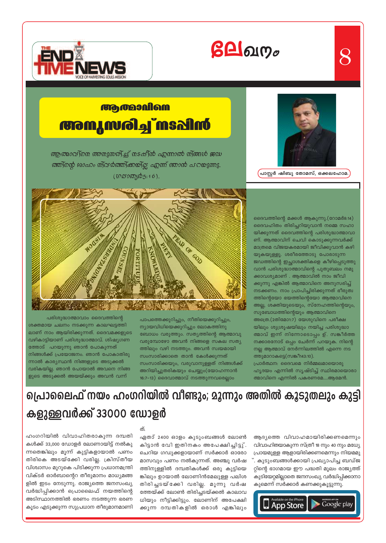

ഏതാ് 2400 ഓളം കുടുംബങ്ങൾ ലോൺ കിട്ടാൻ വേി ഇതിനകം അപേക്ഷിച്ചിട്ടു്. ചെറിയ ഗഡുക്കളായാണ് സർക്കാർ ഓരോ മാസവും പണം നൽകുന്നത്. അഞ്ചു വർഷ ത്തിനുള്ളിൽ ദമ്പതികൾക്ക് ഒരു കുട്ടിയെ ങ്കിലും ഉായാൽ ലോണിൻമേലുള്ള പലിശ തിരിച്ചടയ്ക്കേി വരില്ല. മൂന്നു വർഷ ത്തേയ്ക്ക് ലോൺ തിരിച്ചടയ്ക്കൽ കാലാവ ധിയും നീട്ടിക്കിട്ടും. ലോണിന് അപേക്ഷി ക്കുന്ന ദമ്പതികളിൽ ഒരാൾ എങ്കിലും

പ്രായമുള്ള ആളായിരിക്കണമെന്നും നിയമമു ്. കുടുംബങ്ങൾക്കായി പ്രഖ്യാപിച്ച ബഡ്ജ റ്റിന്റെ ഭാഗമായ ഈ പദ്ധതി മൂലം രാജ്യത്ത് കുടിയേറ്റമില്ലാതെ ജനസംഖ്യ വർദ്ധിപ്പിക്കാനാ കുമെന്ന് സർക്കാർ കണക്കുകൂട്ടുന്നു. Available on the iPhone<br>App Store

O

## പ്രൊലൈഫ് നയം ഹംഗറിയിൽ വീണ്ടും; മുന്നും അതിൽ കൂടുതലും കുട്ടി കളുള്ളവർക്ക് 33000 ഡോളർ

പരിശുദ്ധാത്മാവാം ദൈവത്തിന്റെ ശക്തമായ ചലനം നടക്കുന്ന കാലഘട്ടത്തി ലാണ് നാം ആയിരിക്കുന്നത്. ദൈവമക്കളുടെ വഴികാട്ടിയാണ് പരിശുദ്ധാത്മാവ്. ശിഷ്യഗണ ത്തോട് പറയുന്നു ഞാൻ പോകുന്നത് നിങ്ങൾക്ക് പ്രയോജനം. ഞാൻ പോകാതിരു ന്നാൽ കാര്യസ്ഥൻ നിങ്ങളുടെ അടുക്കൽ വരികയില്ല. ഞാൻ പോയാൽ അവനെ നിങ്ങ ളുടെ അടുക്കൽ അയയ്ക്കും അവൻ വന്ന്

പാപത്തെക്കുറിച്ചും, നീതിയെക്കുറിച്ചും, ന്യായവിധിയെക്കുറിച്ചും ലോകത്തിനു ബോധം വരുത്തും. സത്യത്തിന്റെ ആത്മാവു വരുമ്പോഴോ അവൻ നിങ്ങളെ സകല സത്യ ത്തിലും വഴി നടത്തും. അവൻ സ്വയമായി സംസാരിക്കാതെ താൻ കേൾക്കുന്നത് സംസാരിക്കയും, വരുവാനുള്ളത് നിങ്ങൾക്ക് അറിയിച്ചുതരികയും ചെയ്യും(യോഹന്നാൻ 16:7-13) ദൈവാത്മാവ് നടത്തുന്നവരെല്ലാം



<u>ആത്മാവിനെ അനുസരിച്ച് നടപ്പിൻ എന്നാൽ നിങ്ങൾ ജഡ</u> ത്തിന്റെ ഓഹം സ്വൻത്തിക്കയില്ല എന്ന് ഞാൻ പറയുന്നു.  $($  [ $\Omega$   $2^{\prime}$  $9$   $\mathfrak{W}$   $\mathfrak{g}$   $\mathfrak{g}$   $\mathfrak{g}$   $\mathfrak{g}$   $\mathfrak{g}$   $\mathfrak{g}$   $\mathfrak{h}$   $\mathfrak{h}$   $\mathfrak{h}$   $\mathfrak{h}$   $\mathfrak{h}$   $\mathfrak{h}$ 

## **MO MOO MOO M** *anikan' kelow twee*



്പാസ്റ്റർ ഷിബു തോമസ്, ഒക്കലഹോമ.

ദൈവത്തിന്റെ മക്കൾ ആകുന്നു.(റോമർ8:14) ദൈവഹിതം തിരിച്ചറിയുവാൻ നമ്മെ സഹാ യിക്കുന്നത് ദൈവത്തിന്റെ പരിശുദ്ധാത്മാവാ

ണ്. ആത്മാവിന് ചെവി കൊടുക്കുന്നവർക്ക് മാത്രമെ വിജയകരമായി ജീവിക്കുവാൻ കഴി യുകയുള്ളൂ. ശരീരത്തോടു പോരാടുന്ന ജഡത്തിന്റെ ഇച്ഛാശക്തികളെ കീഴിപ്പെടുത്തു വാൻ പരിശുദ്ധാത്മാവിന്റെ പുതുബലം നമു ക്കാവശ്യമാണ് . ആത്മാവിൽ നാം ജീവി ക്കുന്നു എങ്കിൽ ആത്മാവിനെ അനുസരിച്ച് നടക്കണം. നാം പ്രാപിച്ചിരിക്കുന്നത് ഭീരുത്വ ത്തിന്റെയോ ഭയത്തിന്റെയോ ആത്മാവിനെ അല്ല, ശക്തിയുടെയും, സ്നേഹത്തിന്റെയും,

സുബോധത്തിന്റെയും ആത്മാവിനെ

ത്തുമാറാകട്ടെ(സങ്കീ143:10).

അത്രെ.(2തിമോ1:7) യേശുവിനെ പരീക്ഷ

യിലും ശുശ്രൂഷയിലും നയിച്ച പരിശുദ്ധാ

ത്മാവ് ഇന്ന് നിന്നോടൊപ്പം ഉ്. സങ്കീർത്ത

നക്കാരനോട് ഒപ്പം ചേർന്ന് പറയുക. നിന്റെ

നല്ല ആത്മാവ് നേർന്നിലത്തിൽ എന്നെ നട

ഹൃദയം എന്നിൽ സൃഷ്ടിച്ച് സ്ഥിരമായൊരാ

ആദ്യത്തെ വിവാഹമായിരിക്കണമെന്നും

വിവാഹിതയാകുന്ന സ്ത്രീ 18 നും 40 നും മധ്യേ

Google play

പ്രാർത്ഥന: ദൈവമെ നിർമ്മലമായൊരു

ത്മാവിനെ എന്നിൽ പകരണമേ....ആമേൻ.



 $8\,$ 



# $\beta$ **A** $\alpha$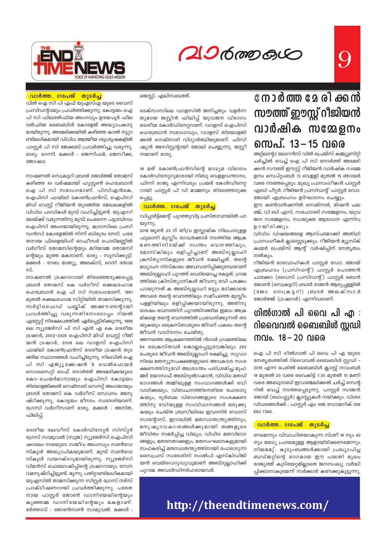

# 2060000C

9

#### <u>വാർത്ത.. 01പേജ് തുടർച്ച</u>

വിൽ ഐ സി പി എഫ് യുഎസ്എ യുടെ വൈസ് പ്രസിഡന്റായും പ്രവർത്തിക്കുന്നു. കോട്ടയം ഐ പി സി ഫിലദൽഫിയ അംഗവും ഉദയപൂർ ഫില ദൽഫിയ ബൈബിൾ കോളേജ് അദ്ധ്യാപകനു മായിരുന്നു. അമേരിക്കയിൽ കഴിഞ്ഞ കാൽ നുറ്റാ ണ്ടിലധികമായി വിവിധ ആത്മീയ ശുശ്രൂഷകളിൽ പാസ്റ്റർ പി സി ജേക്കബ് പ്രവർത്തിച്ചു വരുന്നു. ഭാര്യ: റെന്നി. മക്കൾ : ജെന്നിഫർ, ജെസീക്ക, ജോഷ്വാ.

നാഷണൽ സെക്രട്ടറി ബ്രദർ ജോർജ്ജ് തോമസ് കഴിഞ്ഞ 40 വർഷമായി ഹൂസ്റ്റൺ ഹെബ്രോൻ ഐ പി സി സഭാംഗമാണ്. പിസിഎൻകെ, ഐപിസി ഫാമിലി കോൺഫ്രൻസ്, ഐപിസി മിഡ് വെസ്പ് റീജിയൻ തുടങ്ങിയ മേഖലകളിൽ വിവിധ പദവികൾ മുമ്പ് വഹിച്ചിട്ടുണ്ട്. യുഎസി ലേയ്ക്ക് വരുന്നതിനു മുമ്പ് ചെന്നൈ പട്ടാമ്പിറാം ഐപിസി അംഗമായിരുന്നു. മദ്രാസിലെ പ്രസി ഡൻസി കോളേജിൽ നിന്ന് ബിരുദം നേടി. പരേ തനായ ഫ്ളൈയിംഗ് ഓഫീസർ പൊടിമണ്ണിൽ വർഗീസ് തോമസിന്റെയും മറിയാമ്മ തോമസി ന്റെയും മൂത്ത മകനാണ്. ഭാര്യ : സൂസിക്കുട്ടി. മക്കൾ : റേബ മാത്യൂ, അലക്സ്, റെനി തോമ സ്.

നാഷണൽ ട്രഷറാറായി തിരഞ്ഞെടുക്കപ്പെട്ട ബ്രദർ തോമസ് കെ വർഗീസ് ഒക്കലഹോമ ഹെബ്രോൻ ഐ പി സി സഭാംഗമാണ്. 1981 മുതൽ ഒക്കലഹോമ സിറ്റിയിൽ താമസിക്കുന്നു. സർട്ടിഫൈഡ് പബ്ലിക് അക്കൗണ്ടന്റായി പ്രവർത്തിച്ചു വരുന്നതിനോടൊപ്പം റിയൽ എസ്റ്റേറ്റ് നിക്ഷേപത്തിൽ ഏർപ്പെട്ടിരിക്കുന്നു. 1999 ലെ ന്യൂജേഴ്സി പി സി എൻ എ കെ ദേശീയ ട്രഷറർ, 2002–2005 ഐപിസി മിഡ് വെസ്റ്റ് റീജി യൻ ട്രഷറർ, 2008 ലെ ഡാളസ് ഐപിസി ഫാമിലി കോൺഫ്രൻസ് ദേശീയ ട്രഷറർ തുട ങ്ങിയ സ്ഥാനങ്ങൾ വഹിച്ചിരുന്നു. നിലവിൽ ഐ പി സി എജ്യൂക്കേഷൻ & വെൽഫെയർ സൊസൈറ്റി ഓഫ് നോർത്ത് അമേരിക്കയുടെ കോ-ചെയർമാനായും ഐപിസി കോട്ടയം തിയോളജിക്കൽ സെമിനാരി സെനറ്റ് അംഗമായും ബ്രദർ തോമസ് കെ വർഗീസ് സേവനം അനു ഷ്ഠിക്കുന്നു. കോട്ടയം മീനടം സ്വദേശിയാണ്. ഗ്രേസി വർഗീസാണ് ഭാര്യ. മക്കൾ : അനിത, ഫിലിപ്പ്.

ദേശീയ ലേഡീസ് കോർഡിനേറ്റർ സിസ്റ്റർ ഗ്രേസ് സാമുവൽ (സുജ) ന്യൂജേഴ്സി ഐപിസി ഷാലേം സഭയുടെ സജീവ അംഗവും സൺഡേ സ്കൂൾ അദ്ധ്യാപികയുമാണ്. മുമ്പ് സൺഡേ സ്കൂൾ ഡയറക്ടറുമായിരുന്നു. ന്യൂജേഴ്സി വിമൻസ് ഫെലോഷിപ്പിന്റെ ട്രഷററായും സേന വമനുഷ്ഠിച്ചിട്ടുണ്ട്. മൂന്നു പതിറ്റാണ്ടിലധികമായി യുഎസിൽ താമസിക്കുന്ന സിസ്റ്റർ ഗ്രേസ് നഴ്സ് പ്രാക്ടീഷണറായി പ്രവർത്തിക്കുന്നു. പരേത നായ പാസ്റ്റർ ജോൺ ഡാനിയേലിന്റെയും കുഞ്ഞമ്മ ഡാനിയേലിന്റേയും മകളാണ്. ഭർത്താവ് : ജോൺസൺ സാമുവൽ. മക്കൾ : ജെസ്റ്റി, എലിസബത്ത്.

ടെക്സാസിലെ ഡാളസിൽ ജനിച്ചതും വളർന്ന തുമായ ജസ്റ്റിൻ ഫിലിപ്പ് യുവജന വിഭാഗം ദേശീയ കോർഡിനേറ്ററാണ്. ഡാളസ് ഐപിസി ഹെബ്രോൻ സഭാംഗവും, ഡാളസ് തിയോളജി ക്കൽ സെമിനാരി വിദ്യാർത്ഥിയുമാണ്. ഫിസി ഷ്യൻ അസിസ്റ്റന്റായി ജോലി ചെയ്യുന്നു. ജസ്റ്റീ നയാണ് ഭാര്യ.

18 മത് കോൺഫ്രൻസിന്റെ മാധ്യമ വിഭാഗം കോർഡിനേറ്ററുമാരായി നിബു വെളളവന്താനം, ഫിന്നി രാജു എന്നിവരും പ്രയർ കോർഡിനേറ്റ റായി പാസ്റ്റർ പി വി മാമ്മനും തിരഞ്ഞെടുക്ക പ്പെട്ടു.

#### <mark>് വാർത്ത.. 01പേജ് തുടർച്ച</mark>

ഡിപ്പാർട്ട്മെന്റ് പുറത്തുവിട്ട പ്രസ്താവനയിൽ പറ യുന്നു.

2018 ജൂൺ 23 ന് തീവ്ര ഇസ്ലാമിക നിലപാടുള്ള ഫുലാനി മുസ്ലീം ഗോത്രക്കാർ നടത്തിയ ആക്ര മണത്തിനിടയ്ക്ക് സ്വന്തം ഭവനത്തിലും, മോസ്കിലും ഒളിപ്പിച്ചാണ് അബ്ദുല്ലാഹി ക്രസ്ത്യാനികളുടെ ജീവൻ രക്ഷിച്ചത്. തന്റെ മധ്യാഹ്ന നിസ്കാരം അവസാനിപ്പിക്കുമ്പോഴാണ് അബ്ദുല്ലാഹി പുറത്ത് വെടിയൊച്ച കേട്ടത്. ഗ്രാമ ത്തിലെ ക്രിസ്ത്യാനികൾ ജീവനു വേി പരക്കം പായുന്നത് ക അബ്ദുല്ലാഹി ഒട്ടും മടിക്കാതെ അവരെ തന്റെ ഭവനത്തിലും സമീപത്തെ മുസ്ലീം പള്ളിയിലും ഒളിപ്പിക്കയായിരുന്നു. അതിനു ശേഷം ഭവനത്തിന് പുറത്തിറങ്ങിയ ഇമാം അക്ര മികളെ തന്റെ ഭവനത്തിൽ പ്രവേശിക്കുന്നത് തട യുകയും ക്രൈസ്തവരുടെ ജീവന് പകരം തന്റെ ജീവൻ വാഗ്ദാനം ചെയ്തു.

അന്നത്തെ ആക്രമണത്തിൽ ൻഗാർ ഗ്രാമത്തിലെ 84 പ്രൈസ്തവർ കൊല്ലപ്പെട്ടുവെങ്കിലും 262 പേരുടെ ജീവൻ അബ്ദുല്ലാഹി രക്ഷിച്ചു. സുഡാ നിലെ മതന്യൂനപക്ഷങ്ങളുടടെ അവകാശ സംര ക്ഷണത്തിനുവേി അശ്രാന്തം പരിശ്രമിച്ച മുഹ മ്മദ് യോസഫ് അബ്ദുൽറഹ്മാൻ, വിവിധ മതവി ഭാഗങ്ങൾ തമ്മിലുള്ള സംവാദങ്ങൾക്ക് വേി വാദിക്കയും, വിവേചനത്തിനെതിരെ പോരാടു കയും, ദുർബല വിഭാഗങ്ങളുടെ സംരക്ഷണ ത്തിനു വേിയുള്ള സംവിധാനങ്ങൾ ഒരുക്കു കയും ചെയ്ത ബ്രസീലിലെ ഇവാനിർ ഡോസ് സാന്റോസ്, ഇറാഖിൽ മതസ്വാതന്ത്ര്യത്തിനും, മനുഷ്യാവകാശങ്ങൾക്കുമായി തങ്ങളുടെ ജീവിതം സമർപ്പിച്ച വില്യം, വിവിധ മതവിഭാഗ ങ്ങളും, മതനേതാക്കളും, മതസംഘടനകളുമായി സഹകരിച്ച് മതസ്വാതന്ത്യത്തിനായി പോരാടുന്ന സൈപ്രസ് സ്വദേശിനി സാൽപി എസ്കിഡിജി യൻ വെയ്ഡെറുഡുവുമാണ് അബ്ദുല്ലാഹിക്ക് പുറമേ അവാർഡിനർഹരായവർ

## നോർത്ത മേരിക്കൻ സൗത്ത് ഈസ്റ്റ് റീജിയൻ വാർഷിക സമ്മേളനം സെപ്. 13 – 15 വരെ

അറ്റ്ലാന്റാ ലോറൻസ് വിൽ പ്രെയ്സ് കമ്മ്യുണിറ്റി ചർച്ചിൽ വെച്ച് ഐ പി സി നോർത്ത് അമേരി ക്കൻ സൗത്ത് ഈസ്റ്റ് റീജിയൻ വാർഷിക സമ്മേ ളനം സെപ്റ്റംബർ 13 വെള്ളി മുതൽ 15 ഞായർ വരെ നടത്തപ്പെടും. മുഖ്യ പ്രാസംഗീകൻ പാസ്റ്റർ എബി പീറ്റർ. റീജിയൻ പ്രസിഡന്റ് പാസ്റ്റർ ഡോ. ജോയി എബ്രഹാം ഉദ്ഘാടനം ചെയ്യും.

ഈ കൺവൻഷനിൽ സെമിനാർ, മിഷൻ ചല ഞ്ച്, വി ബി എസ്, സഹോദരി സമ്മേളനം, യുവ ജന സമ്മേളനം, സംയുക്ത ആരാധന എന്നിവ ഉായിരിക്കും.

വിവിധ വിഷയങ്ങളെ ആസ്പദമാക്കി അതിഥി പ്രാസംഗീകർ ക്ലാസ്സെടുക്കും. റീജിയൻ മ്യൂസിക് ക്വയർ പ്രെയ്സ് ആന്റ് വർഷിപ്പിന് നേതൃത്വം നൽകും.

റീജിയൻ ഭാരവാഹികൾ പാസ്റ്റർ ഡോ. ജോയ് എബ്രഹാം (പ്രസിഡന്റ്) പാസ്റ്റർ പോത്തൻ ചാക്കോ (വൈസ് പ്രസിഡന്റ്) പാസ്റ്റർ ബെൻ ജോൺ (സെക്രട്ടറി) ബ്രദർ രാജൻ ആര്യപ്പള്ളിൽ (ജോ. സെക്രട്ടറി) ബ്രദർ അലക്സാർ ജോർജ്ജ് (ട്രഷറാർ) എന്നിവരാണ്.

## ഗിൽഗാൽ പി വൈ പി എ $\,$  : റിവൈവൽ ബൈബിൾ സ്റ്റഡി നവം. 18 – 20 വരെ

ഐ പി സി ഗിൽഗാൽ പി വൈ പി എ യുടെ നേതൃത്വത്തിൽ റിവൈവൽ ബൈബിൾ സ്റ്റഡി – 2019 എന്ന പേരിൽ ബൈബിൾ ക്ലാസ്റ്റ് നവംബർ 18 മുതൽ 20 വരെ വൈകിട്ട് 7.30 മുതൽ 10 മണി വരെ അബുദാബി ഇവാഞ്ചലിക്കൽ ചർച്ച് സെന്റ റിൽ വെച്ച് നടത്തപ്പെടുന്നു. പാസ്റ്റർ സാജൻ ജോയ് (ബാംഗ്ലൂർ) ക്ലാസ്സുകൾ നയിക്കും. വിശദ വിവരങ്ങൾക്ക് : പാസ്റ്റർ എം ജെ ഡോമനിക് 056 663 7365.

#### <u>വാർത്ത.. 01പേജ്</u> തുടർച്ച

ണമെന്നും വിവാഹിതയാകുന്ന സ്ത്രീ 18 നും 40 നും മധ്യേ പ്രായമുള്ള ആളായിരിക്കണമെന്നും നിയമമു്. കുടുംബങ്ങൾക്കായി പ്രഖ്യാപിച്ച ബഡ്ജറ്റിന്റെ ഭാഗമായ ഈ പദ്ധതി മൂലം രാജ്യത്ത് കുടിയേറ്റമില്ലാതെ ജനസംഖ്യ വർദ്ധി പ്പിക്കാനാകുമെന്ന് സർക്കാർ കണക്കുകൂട്ടുന്നു.

## http://theendtimenews.com/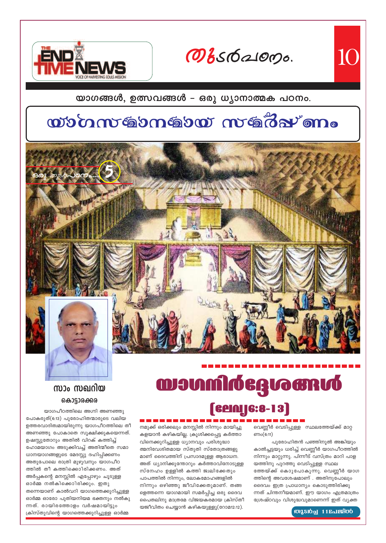Овебаюрь.

10



യാഗങ്ങൾ, ഉത്സവങ്ങൾ - ഒരു ധ്യാനാത്മക പഠനം.

# wómmérnérve méréven.



# **manufacturem [Cenale:8-13]**

ണം(6:11)

നമുക്ക് ഒരിക്കലും മനസ്സിൽ നിന്നും മായിച്ചു കളയാൻ കഴികയില്ല. ക്രൂശിക്കപ്പെട്ട കർത്താ വിനെക്കുറിച്ചുള്ള ധ്യാനവും പരിശുദ്ധാ ത്മനിവേശിതമായ സ്തുതി സ്തോത്രങ്ങളു മാണ് ദൈവത്തിന് പ്രസാദമുള്ള ആരാധന. അത് ധ്യാനിക്കുന്തോറും കർത്താവിനോടുള്ള സ്നേഹം ഉള്ളിൽ കത്തി ജ്വലിക്കേതും പാപത്തിൽ നിന്നും, ലോകമോഹങ്ങളിൽ നിന്നും ഒഴിഞ്ഞു ജീവിക്കേതുമാണ്. തങ്ങ ളെത്തന്നെ യാഗമായി സമർപ്പിച്ച ഒരു ദൈവ പൈതലിനു മാത്രമേ വിജയകരമായ ക്രിസ്തീ യജീവിതം ചെയ്യാൻ കഴികയുള്ളൂ(റോമ12:12).

### സാം സഖറിയ കൊട്ടാരക്കര

യാഗപീഠത്തിലെ അഗ്നി അണഞ്ഞു പോകരുത്(6:13) പുരോഹിതന്മാരുടെ വലിയ ഉത്തരവാദിത്വമായിരുന്നു യാഗപീഠത്തിലെ തീ അണഞ്ഞു പോകാതെ സൂക്ഷിക്കുകയെന്നത്. ഉഷസ്കുതോറും അതിൽ വിറക് കത്തിച്ച് ഹോമയാഗം അടുക്കിവച്ച് അതിന്മീതെ സമാ ധാനയാഗങ്ങളുടെ മേദസ്സു ദഹിപ്പിക്കണം അതുപോലെ രാത്രി മുഴുവനും യാഗപീഠ ത്തിൽ തീ കത്തിക്കൊിരിക്കണം. അത് അർപ്പകന്റെ മനസ്സിൽ എപ്പോഴും ചൂടുള്ള ഓർമ്മ നൽകിക്കൊിരിക്കും. ഇതു തന്നെയാണ് കാൽവറി യാഗത്തെക്കുറിച്ചുള്ള ഓർമ്മ ഓരോ പുതിയനിയമ ഭക്തനും നൽകു ന്നത്. രായിരത്തോളം വർഷമായിട്ടും ക്രിസ്തുവിന്റെ യാഗത്തെക്കുറിച്ചുള്ള ഓർമ്മ

#### **MASIOL 11 Roles TOO**

വെണ്ണീർ വെടിപ്പുള്ള സ്ഥലത്തേയ്ക്ക് മാറ്റ

കാൽച്ചട്ടയും ധരിച്ച് വെണ്ണീർ യാഗപീഠത്തിൽ

നിന്നും മാറ്റുന്നു. പിന്നീട് വസ്ത്രം മാറി പാള

ത്തേയ്ക്ക് കൊുപോകുന്നു. വെണ്ണീർ യാഗ

ന്നത് ചിന്തനീയമാണ്. ഈ യാഗം എത്രമാത്രം

ശ്രേഷ്ഠവും വിശുദ്ധവുമാണെന്ന് ഇത് വ്യക്ത

ത്തിന്റെ അവശേഷമാണ് . അതിനുപോലും

ദൈവം ഇത്ര പ്രാധാന്യം കൊടുത്തിരിക്കു

യത്തിനു പുറത്തു വെടിപ്പുള്ള സ്ഥല

പുരോഹിതൻ പഞ്ഞിനൂൽ അങ്കിയും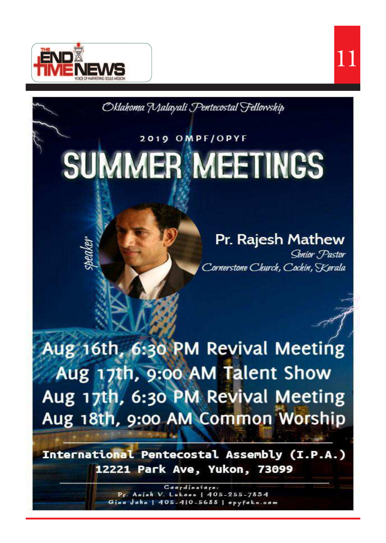



Oklahoma Malayali Pentecostal Fellowship

# 2019 OMPF/OPYF

# **SUMMER MEETINGS**

# Pr. Rajesh Mathew

Senior Pastor Cornerstone Church, Cochin, Kerala

Aug 16th, 6:30 PM Revival Meeting Aug 17th, 9:00 AM Talent Show Aug 17th, 6:30 PM Revival Meeting Aug 18th, 9:00 AM Common Worship

International Pentecostal Assembly (I.P.A.) 12221 Park Ave, Yukon, 73099

> Coordinators: Pr. Anish V. Lukose | 405-255-7884 Gino John | 405-410-5688 | opyfoka.com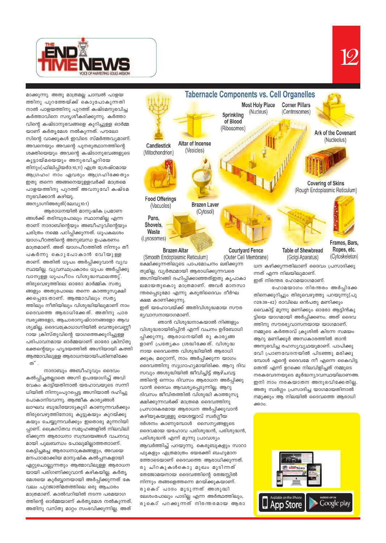

മാക്കുന്നു. അതു മാത്രമല്ല ചാമ്പൽ പാളയ ത്തിനു പുറത്തേയ്ക്ക് കൊുപോകുന്നതി നാൽ പാളയത്തിനു പുറത്ത് കഷ്ടമനുഭവിച്ച കർത്താവിനെ സദൃശീകരിക്കുന്നു. കർത്താ വിന്റെ കഷ്ടാനുഭവങ്ങളെ കുറിച്ചുള്ള ഓർമ്മ യാണ് കർതൃമേശ നൽകുന്നത്. പൗലോ സിന്റെ വാക്കുകൾ ഇവിടെ സ്മർത്തവ്യമാണ്. അവനെയും അവന്റെ പുനരുത്ഥാനത്തിന്റെ ശക്തിയെയും അവന്റെ കഷ്ടാനുഭവങ്ങളുടെ കൂട്ടായ്മയെയും അനുഭവിച്ചറിയേ തിനും(ഫിലിപ്പിയർ3:10,11) എത്ര ശ്രേഷ്ഠമായ ആഗ്രഹം! നാം ഏവരും ആഗ്രഹിക്കേതും ഇതു തന്നെ അങ്ങനെയുള്ളവർക്ക് മാത്രമെ പാളയത്തിനു പുറത്ത് അവനുവേി കഷ്ടമ നുഭവിക്കാൻ കഴിയൂ.

അന്യാഗ്നിഅരുത്(ലേവ്യ10:1)

ആരാധനയിൽ മാനുഷിക പ്രമാണ ങ്ങൾക്ക് തരിമ്പുപോലും സ്ഥാനമില്ല എന്ന താണ് നാദാബിന്റെയും അബീഹൂവിന്റെയും ചരിത്രം നമ്മെ പഠിപ്പിക്കുന്നത്. ധൂപകലശം യാഗപീഠത്തിന്റെ അനുബന്ധ ഉപകരണം മാത്രമാണ്. അത് യാഗപീഠത്തിൽ നിന്നും തീ പകർന്നു കൊുപോകാൻ വേിയുള്ള താണ്. അതിൽ ധൂപം അർപ്പിക്കുവാൻ വ്യവ സ്ഥയില്ല. വ്യവസ്ഥപ്രകാരം ധൂപം അർപ്പിക്കു വാനുള്ള ധൂപപീഠം വിശുദ്ധസ്ഥലത്തു്. തിരുവെഴുത്തിലെ ഓരോ മാർമ്മിക സത്യ ങ്ങളും അതുപോലെ തന്നെ കാത്തുസൂക്ഷി ക്കപ്പെടേ താണ്. ആത്മാവിലും സതൃ ത്തിലും നീതിയിലും വിശുദ്ധിയിലുമാണ് നാം ദൈവത്തെ ആരാധിക്കേത്. അതിനു പാര മ്പര്യങ്ങളോ, ആചാരാനുഷ്ഠാനങ്ങളോ ആവ ശ്യമില്ല. ദൈവക്രോധാഗ്നിയിൽ വെന്തുവെണ്ണീ റായ ക്രിസ്തുവിന്റെ യാഗത്തെക്കുറിച്ചുള്ള പരിപാവനമായ ഓർമ്മയാണ് ഓരോ ക്രിസ്തു ഭക്തന്റെയും ഹൃദയത്തിൽ അഗ്നിയായി കത്തി ആത്മാവിലുള്ള ആരാധനയായിപരിണമിക്കേ  $\infty$  .

നാദാബും അബീഹൂവും ദൈവം കൽപ്പിച്ചതല്ലാതെ അഗ്നി ഉപയോഗിച്ച് അവി വേകം കാട്ടിയതിനാൽ യഹോവയുടെ സന്നി ധിയിൽ നിന്നുംപുറപ്പെട്ട അഗ്നിയാൽ ദഹിച്ചു പോകാനിടവന്നു. ആത്മീക കാര്യങ്ങൾ ലാഘവ ബുദ്ധിയോടുകൂടി കാണുന്നവർക്കും തിരുവെഴുത്തിനോടു കൂട്ടുകയും കുറയ്ക്കു കയും ചെയ്യുന്നവർക്കും ഇതൊരു മുന്നറിയി പ്പാണ്. ക്രൈസ്തവ സമൂഹങ്ങളിൽ നിലവിലി രിക്കുന്ന ആരാധനാ സമ്പ്രദയങ്ങൾ വചനവു മായി പുലബന്ധം പോലുമില്ലാത്തതാാണ്. കെട്ടിച്ചമച്ച ആരാധനാക്രമങ്ങളും, അവയെ മനപാഠമാക്കിയ മാനുഷിക കൽപ്പനകളായി ഏറ്റുചൊല്ലുന്നതും ആത്മാവിലുള്ള ആരാധന യായി പരിഗണിക്കുവാൻ കഴികയില്ല. കർതൃ മേശയെ കുർബ്ബാനയായി അർപ്പിക്കുന്നത് കേ വലം പുറജാതിമതത്തിലെ ഒരു ആചാരം മാത്രമാണ്. കാൽവറിയിൽ നടന്ന പരമയാഗ ത്തിന്റെ ഓർമ്മയാണ് കർതൃമേശ നൽകുന്നത്. അതിനു വസ്തു മാറ്റം സംഭവിക്കുന്നില്ല. അത്



(Smooth Endoplasmic Reticulum) ഭക്ഷിക്കുന്നതിലൂടെ പാപമോചനം ലഭിക്കുന്ന തുമില്ല. വ്യർത്ഥമായി ആരാധിക്കുന്നവരെ അഗ്നിയിറങ്ങി ദഹിപ്പിക്കാഞ്ഞത്ഇതു കൃപാകാ ലമായതുകൊു മാത്രമാണ്. അവർ മാനസാ ന്തരപ്പെടുമോ എന്നു കരുതിദൈവം ദീർഘ ക്ഷമ കാണിക്കുന്നു.

ഇത് യഹോവയ്ക്ക് അതിവിശുദ്ധമായ സൗര ഭ്യവാസനായാഗമാണ്.

ഞാൻ വിശുദ്ധനാകയാൽ നിങ്ങളും വിശുദ്ധരായിരിപ്പിൻ എന്ന് വചനം ഉദ്ബോധി പ്പിക്കുന്നു. ആരാധനയിൽ രു കാര്യങ്ങ ളാണ് പ്രത്യേകം ശ്രദ്ധിക്കേത്. വിശുദ്ധ നായ ദൈവത്തെ വിശുദ്ധിയിൽ ആരാധി ക്കുക; മറ്റൊന്ന്, നാം അർപ്പിക്കുന്ന യാഗം ദൈവത്തിനു സുഗ്രാഹ്യമായിരിക്ക. ആറു ദിവ സവും അശുദ്ധിയിൽ ജീവിച്ചിട്ട് ആഴ്ചവട്ട ത്തിന്റെ ഒന്നാം ദിവസം ആരാധന അർപ്പിക്കു വാൻ ദൈവം ആവശ്യപ്പെടുന്നില്ല. ആറു ദിവസം ജീവിതത്തിൽ വിശുദ്ധി കാത്തുസൂ ക്ഷിക്കുന്നവർക്ക് മാത്രമെ ദൈവത്തിനു പ്രസാദകരമായ ആരാധന അർപ്പിക്കുവാൻ കഴിയുകയുള്ളൂ യെശയ്യാവ് സ്വർഗ്ഗീയ ദർശനം കാണുമ്പോൾ സൈന്യങ്ങളുടെ ദൈവമായ യഹോവ പരിശുദ്ധൻ, പരിശുദ്ധൻ, പരിശുദ്ധൻ എന്ന് മൂന്നു പ്രാവശ്യം ആവർത്തിച്ച് പറയുന്നു. കെരൂബുകളും സാറാ ഫുകളും എത്രമാത്രം ഭയഭക്തി ബഹുമാന ത്തോടെയാണ് ദൈവത്തെ ആരാധിക്കുന്നത്. രു ചിറകുകൾകൊു മുഖം മൂടിന്നത് തേജോമയനായ ദൈവത്തിന്റെ തേജസ്സിൽ നിന്നും തങ്ങളെത്തന്നെ മറയ്ക്കുകയാണ്. രുകൊ്പാദം മൂടുന്നത് അശുദ്ധി ലേശംപോലും പാടില്ല എന്ന അർത്ഥത്തിലും, രുകൊ്പറക്കുന്നത് നിരന്തരമായ ആരാ

(Outer Cell Membrane)

(Cytoskeleton) (Golgi Aparatus)

ധന കഴിക്കുന്നതിലാണ് ദൈവം പ്രസാദിക്കു ന്നത് എന്ന നിലയിലുമാണ്. ഇത് നിരന്തര ഹോമയാഗമാണ്.

ഹോമയാഗം നിരന്തരം അർപ്പിക്കേ തിനെക്കുറിച്ചും തിരുവെഴുത്തു പറയുന്നു(പു റ29:38-42) രാവിലെ ഒൻപതു മണിക്കും വൈകിട്ട് മൂന്നു മണിക്കും ഓരോ ആട്ടിൻകു ട്ടിയെ യാഗമായി അർപ്പിക്കണം. അത് ദൈവ ത്തിനു സൗരഭൃവാസനയായ യാഗമാണ്. നമ്മുടെ കർത്താവ് ക്രൂശിൽ കിടന്ന സമയം ആറു മണിക്കൂർ അന്ധകാരത്തിൽ താൻ അനുഭവിച്ച രഹസ്യവ്യഥയുമാണ്. പാപിക്കു വേി പ്രാണവേദനയിൽ പിടഞ്ഞു മരിക്കു മ്പോൾ എന്റെ ദൈവമേ നീ എന്നെ കൈവിട്ട തെന്ത് എന്ന് ഉറക്കെ നിലവിളിച്ചത് നമ്മുടെ നരകവേദനയുടെ മൂർദ്ധന്യാവസ്ഥയിലാണഅ. ഇനി നാം നരകയാതന അനുഭവിക്കേതില്ല. അതു സ്വർഗ്ഗം പ്രസാദിച്ച യാഗമായതിനാൽ നമുക്കും ആ നിലയിൽ ദൈവത്തെ ആരാധി ക്കാം.